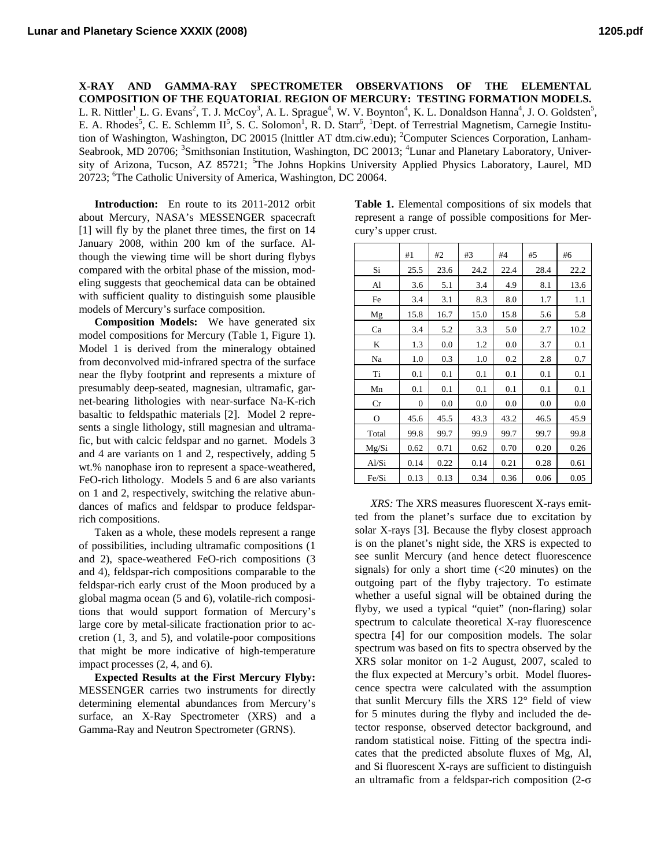**X-RAY AND GAMMA-RAY SPECTROMETER OBSERVATIONS OF THE ELEMENTAL COMPOSITION OF THE EQUATORIAL REGION OF MERCURY: TESTING FORMATION MODELS.** L. R. Nittler<sup>1</sup>, L. G. Evans<sup>2</sup>, T. J. McCoy<sup>3</sup>, A. L. Sprague<sup>4</sup>, W. V. Boynton<sup>4</sup>, K. L. Donaldson Hanna<sup>4</sup>, J. O. Goldsten<sup>5</sup>, E. A. Rhodes<sup>5</sup>, C. E. Schlemm II<sup>5</sup>, S. C. Solomon<sup>1</sup>, R. D. Starr<sup>6</sup>, <sup>1</sup>Dept. of Terrestrial Magnetism, Carnegie Institution of Washington, Washington, DC 20015 (lnittler AT dtm.ciw.edu); <sup>2</sup>Computer Sciences Corporation, Lanham-Seabrook, MD 20706; <sup>3</sup>Smithsonian Institution, Washington, DC 20013; <sup>4</sup>Lunar and Planetary Laboratory, University of Arizona, Tucson, AZ 85721; <sup>5</sup>The Johns Hopkins University Applied Physics Laboratory, Laurel, MD 20723; <sup>6</sup>The Catholic University of America, Washington, DC 20064.

**Introduction:** En route to its 2011-2012 orbit about Mercury, NASA's MESSENGER spacecraft [1] will fly by the planet three times, the first on 14 January 2008, within 200 km of the surface. Although the viewing time will be short during flybys compared with the orbital phase of the mission, modeling suggests that geochemical data can be obtained with sufficient quality to distinguish some plausible models of Mercury's surface composition.

**Composition Models:** We have generated six model compositions for Mercury (Table 1, Figure 1). Model 1 is derived from the mineralogy obtained from deconvolved mid-infrared spectra of the surface near the flyby footprint and represents a mixture of presumably deep-seated, magnesian, ultramafic, garnet-bearing lithologies with near-surface Na-K-rich basaltic to feldspathic materials [2]. Model 2 represents a single lithology, still magnesian and ultramafic, but with calcic feldspar and no garnet. Models 3 and 4 are variants on 1 and 2, respectively, adding 5 wt.% nanophase iron to represent a space-weathered, FeO-rich lithology. Models 5 and 6 are also variants on 1 and 2, respectively, switching the relative abundances of mafics and feldspar to produce feldsparrich compositions.

Taken as a whole, these models represent a range of possibilities, including ultramafic compositions (1 and 2), space-weathered FeO-rich compositions (3 and 4), feldspar-rich compositions comparable to the feldspar-rich early crust of the Moon produced by a global magma ocean (5 and 6), volatile-rich compositions that would support formation of Mercury's large core by metal-silicate fractionation prior to accretion  $(1, 3, \text{ and } 5)$ , and volatile-poor compositions that might be more indicative of high-temperature impact processes (2, 4, and 6).

**Expected Results at the First Mercury Flyby:** MESSENGER carries two instruments for directly determining elemental abundances from Mercury's surface, an X-Ray Spectrometer (XRS) and a Gamma-Ray and Neutron Spectrometer (GRNS).

| Table 1. Elemental compositions of six models that  |
|-----------------------------------------------------|
| represent a range of possible compositions for Mer- |
| cury's upper crust.                                 |

|       | #1           | #2   | #3   | #4   | #5   | #6   |
|-------|--------------|------|------|------|------|------|
| Si    | 25.5         | 23.6 | 24.2 | 22.4 | 28.4 | 22.2 |
| Al    | 3.6          | 5.1  | 3.4  | 4.9  | 8.1  | 13.6 |
| Fe    | 3.4          | 3.1  | 8.3  | 8.0  | 1.7  | 1.1  |
| Mg    | 15.8         | 16.7 | 15.0 | 15.8 | 5.6  | 5.8  |
| Ca    | 3.4          | 5.2  | 3.3  | 5.0  | 2.7  | 10.2 |
| K     | 1.3          | 0.0  | 1.2  | 0.0  | 3.7  | 0.1  |
| Na    | 1.0          | 0.3  | 1.0  | 0.2  | 2.8  | 0.7  |
| Ti    | 0.1          | 0.1  | 0.1  | 0.1  | 0.1  | 0.1  |
| Mn    | 0.1          | 0.1  | 0.1  | 0.1  | 0.1  | 0.1  |
| Cr    | $\mathbf{0}$ | 0.0  | 0.0  | 0.0  | 0.0  | 0.0  |
| O     | 45.6         | 45.5 | 43.3 | 43.2 | 46.5 | 45.9 |
| Total | 99.8         | 99.7 | 99.9 | 99.7 | 99.7 | 99.8 |
| Mg/Si | 0.62         | 0.71 | 0.62 | 0.70 | 0.20 | 0.26 |
| Al/Si | 0.14         | 0.22 | 0.14 | 0.21 | 0.28 | 0.61 |
| Fe/Si | 0.13         | 0.13 | 0.34 | 0.36 | 0.06 | 0.05 |

*XRS:* The XRS measures fluorescent X-rays emitted from the planet's surface due to excitation by solar X-rays [3]. Because the flyby closest approach is on the planet's night side, the XRS is expected to see sunlit Mercury (and hence detect fluorescence signals) for only a short time  $\left( < 20 \right)$  minutes) on the outgoing part of the flyby trajectory. To estimate whether a useful signal will be obtained during the flyby, we used a typical "quiet" (non-flaring) solar spectrum to calculate theoretical X-ray fluorescence spectra [4] for our composition models. The solar spectrum was based on fits to spectra observed by the XRS solar monitor on 1-2 August, 2007, scaled to the flux expected at Mercury's orbit. Model fluorescence spectra were calculated with the assumption that sunlit Mercury fills the XRS 12° field of view for 5 minutes during the flyby and included the detector response, observed detector background, and random statistical noise. Fitting of the spectra indicates that the predicted absolute fluxes of Mg, Al, and Si fluorescent X-rays are sufficient to distinguish an ultramafic from a feldspar-rich composition (2-σ